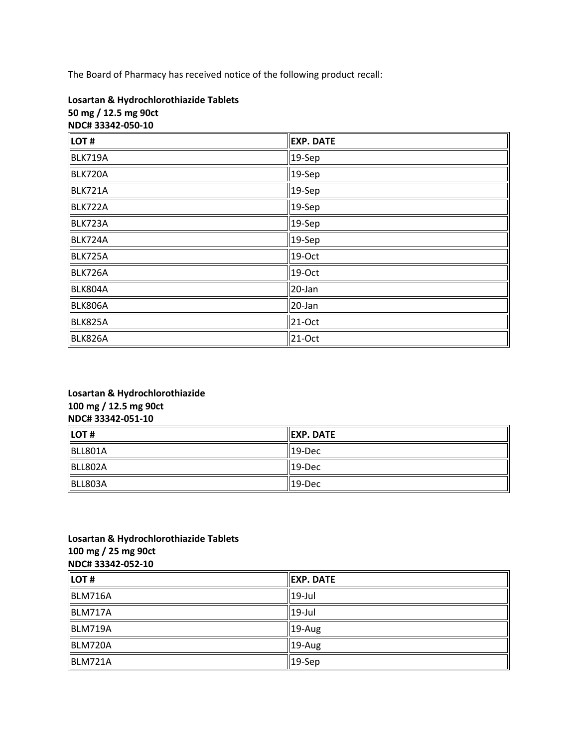The Board of Pharmacy has received notice of the following product recall:

| NDC#33342-050-10 |                  |  |
|------------------|------------------|--|
| LOT#             | <b>EXP. DATE</b> |  |
| BLK719A          | 19-Sep           |  |
| BLK720A          | 19-Sep           |  |
| <b>BLK721A</b>   | 19-Sep           |  |
| BLK722A          | $19-$ Sep        |  |
| BLK723A          | $19-$ Sep        |  |
| BLK724A          | 19-Sep           |  |
| BLK725A          | 19-Oct           |  |
| BLK726A          | 19-Oct           |  |
| BLK804A          | 20-Jan           |  |
| BLK806A          | 20-Jan           |  |
| BLK825A          | 21-Oct           |  |
| BLK826A          | $21-Oct$         |  |

# **Losartan & Hydrochlorothiazide Tablets 50 mg / 12.5 mg 90ct**

## **Losartan & Hydrochlorothiazide 100 mg / 12.5 mg 90ct NDC# 33342-051-10**

| $\parallel$ LOT# | <b>IEXP. DATE</b>  |
|------------------|--------------------|
| BLL801A          | $  19-Dec$         |
| BLL802A          | $\parallel$ 19-Dec |
| BLL803A          | $  19-Dec$         |

#### **Losartan & Hydrochlorothiazide Tablets 100 mg / 25 mg 90ct NDC# 33342-052-10**

| LOT#    | <b>IEXP. DATE</b>  |
|---------|--------------------|
| BLM716A | $\parallel$ 19-Jul |
| BLM717A | $ 19 -$ Jul        |
| BLM719A | $19-Aug$           |
| BLM720A | $19-Aug$           |
| BLM721A | $ 19-$ Sep         |